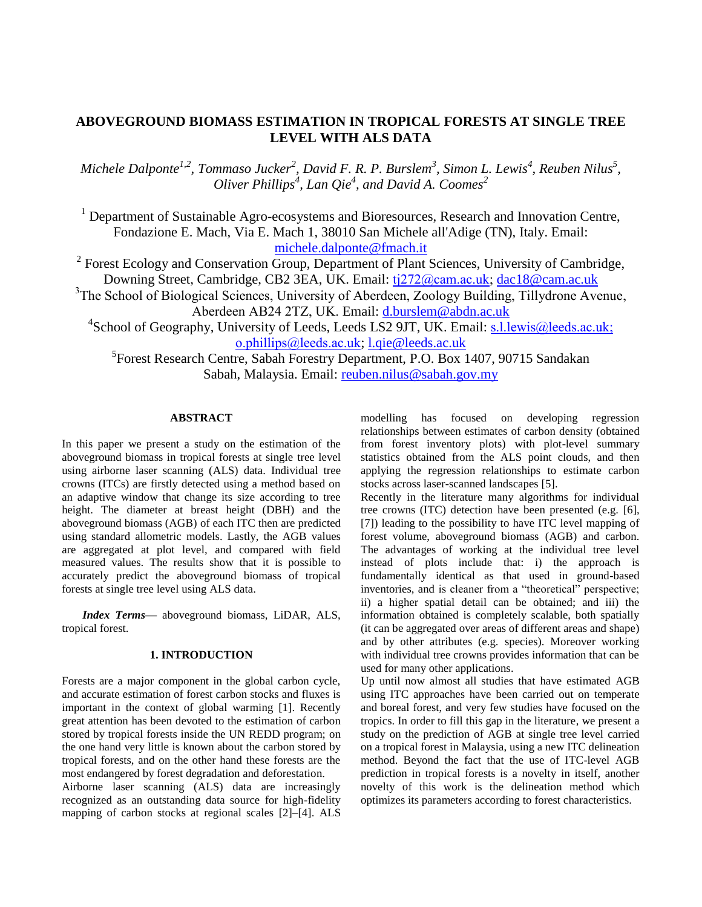# **ABOVEGROUND BIOMASS ESTIMATION IN TROPICAL FORESTS AT SINGLE TREE LEVEL WITH ALS DATA**

*Michele Dalponte1,2, Tommaso Jucker<sup>2</sup> , David F. R. P. Burslem<sup>3</sup> , Simon L. Lewis<sup>4</sup> , Reuben Nilus<sup>5</sup> , Oliver Phillips<sup>4</sup> , Lan Qie<sup>4</sup> , and David A. Coomes<sup>2</sup>*

 $<sup>1</sup>$  Department of Sustainable Agro-ecosystems and Bioresources, Research and Innovation Centre,</sup> Fondazione E. Mach, Via E. Mach 1, 38010 San Michele all'Adige (TN), Italy. Email: [michele.dalponte@fmach.it](mailto:michele.dalponte@fmach.it)

<sup>2</sup> Forest Ecology and Conservation Group, Department of Plant Sciences, University of Cambridge, Downing Street, Cambridge, CB2 3EA, UK. Email: [tj272@cam.ac.uk;](mailto:tj272@cam.ac.uk) [dac18@cam.ac.uk](mailto:dac18@cam.ac.uk)

<sup>3</sup>The School of Biological Sciences, University of Aberdeen, Zoology Building, Tillydrone Avenue, Aberdeen AB24 2TZ, UK. Email: [d.burslem@abdn.ac.uk](mailto:d.burslem@abdn.ac.uk)

<sup>4</sup>School of Geography, University of Leeds, Leeds LS2 9JT, UK. Email: **s.l.lewis@leeds.ac.uk**; [o.phillips@leeds.ac.uk](mailto:o.phillips@leeds.ac.uk); [l.qie@leeds.ac.uk](mailto:l.qie@leeds.ac.uk)

5 Forest Research Centre, Sabah Forestry Department, P.O. Box 1407, 90715 Sandakan Sabah, Malaysia. Email: [reuben.nilus@sabah.gov.my](mailto:reuben.nilus@sabah.gov.my)

# **ABSTRACT**

In this paper we present a study on the estimation of the aboveground biomass in tropical forests at single tree level using airborne laser scanning (ALS) data. Individual tree crowns (ITCs) are firstly detected using a method based on an adaptive window that change its size according to tree height. The diameter at breast height (DBH) and the aboveground biomass (AGB) of each ITC then are predicted using standard allometric models. Lastly, the AGB values are aggregated at plot level, and compared with field measured values. The results show that it is possible to accurately predict the aboveground biomass of tropical forests at single tree level using ALS data.

*Index Terms—* aboveground biomass, LiDAR, ALS, tropical forest.

# **1. INTRODUCTION**

Forests are a major component in the global carbon cycle, and accurate estimation of forest carbon stocks and fluxes is important in the context of global warming [1]. Recently great attention has been devoted to the estimation of carbon stored by tropical forests inside the UN REDD program; on the one hand very little is known about the carbon stored by tropical forests, and on the other hand these forests are the most endangered by forest degradation and deforestation.

Airborne laser scanning (ALS) data are increasingly recognized as an outstanding data source for high-fidelity mapping of carbon stocks at regional scales [2]–[4]. ALS modelling has focused on developing regression relationships between estimates of carbon density (obtained from forest inventory plots) with plot-level summary statistics obtained from the ALS point clouds, and then applying the regression relationships to estimate carbon stocks across laser-scanned landscapes [5].

Recently in the literature many algorithms for individual tree crowns (ITC) detection have been presented (e.g. [6], [7]) leading to the possibility to have ITC level mapping of forest volume, aboveground biomass (AGB) and carbon. The advantages of working at the individual tree level instead of plots include that: i) the approach is fundamentally identical as that used in ground-based inventories, and is cleaner from a "theoretical" perspective; ii) a higher spatial detail can be obtained; and iii) the information obtained is completely scalable, both spatially (it can be aggregated over areas of different areas and shape) and by other attributes (e.g. species). Moreover working with individual tree crowns provides information that can be used for many other applications.

Up until now almost all studies that have estimated AGB using ITC approaches have been carried out on temperate and boreal forest, and very few studies have focused on the tropics. In order to fill this gap in the literature, we present a study on the prediction of AGB at single tree level carried on a tropical forest in Malaysia, using a new ITC delineation method. Beyond the fact that the use of ITC-level AGB prediction in tropical forests is a novelty in itself, another novelty of this work is the delineation method which optimizes its parameters according to forest characteristics.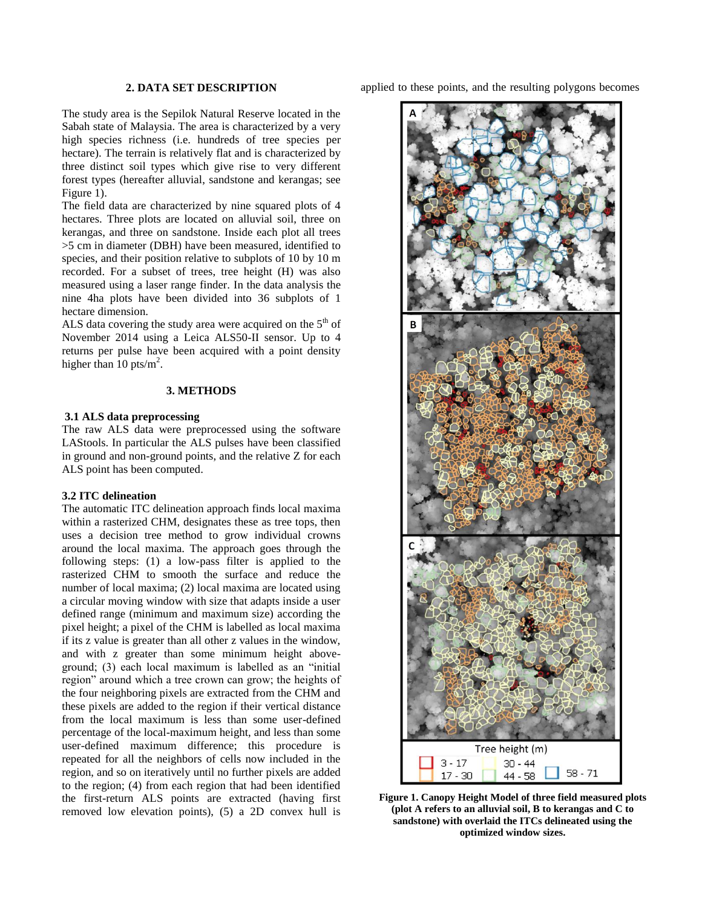### **2. DATA SET DESCRIPTION**

The study area is the Sepilok Natural Reserve located in the Sabah state of Malaysia. The area is characterized by a very high species richness (i.e. hundreds of tree species per hectare). The terrain is relatively flat and is characterized by three distinct soil types which give rise to very different forest types (hereafter alluvial, sandstone and kerangas; see Figure 1).

The field data are characterized by nine squared plots of 4 hectares. Three plots are located on alluvial soil, three on kerangas, and three on sandstone. Inside each plot all trees >5 cm in diameter (DBH) have been measured, identified to species, and their position relative to subplots of 10 by 10 m recorded. For a subset of trees, tree height (H) was also measured using a laser range finder. In the data analysis the nine 4ha plots have been divided into 36 subplots of 1 hectare dimension.

ALS data covering the study area were acquired on the  $5<sup>th</sup>$  of November 2014 using a Leica ALS50-II sensor. Up to 4 returns per pulse have been acquired with a point density higher than  $10 \text{ pts/m}^2$ .

## **3. METHODS**

### **3.1 ALS data preprocessing**

The raw ALS data were preprocessed using the software LAStools. In particular the ALS pulses have been classified in ground and non-ground points, and the relative Z for each ALS point has been computed.

### **3.2 ITC delineation**

The automatic ITC delineation approach finds local maxima within a rasterized CHM, designates these as tree tops, then uses a decision tree method to grow individual crowns around the local maxima. The approach goes through the following steps: (1) a low-pass filter is applied to the rasterized CHM to smooth the surface and reduce the number of local maxima; (2) local maxima are located using a circular moving window with size that adapts inside a user defined range (minimum and maximum size) according the pixel height; a pixel of the CHM is labelled as local maxima if its z value is greater than all other z values in the window, and with z greater than some minimum height aboveground; (3) each local maximum is labelled as an "initial region" around which a tree crown can grow; the heights of the four neighboring pixels are extracted from the CHM and these pixels are added to the region if their vertical distance from the local maximum is less than some user-defined percentage of the local-maximum height, and less than some user-defined maximum difference; this procedure is repeated for all the neighbors of cells now included in the region, and so on iteratively until no further pixels are added to the region; (4) from each region that had been identified the first-return ALS points are extracted (having first removed low elevation points), (5) a 2D convex hull is

applied to these points, and the resulting polygons becomes



**Figure 1. Canopy Height Model of three field measured plots (plot A refers to an alluvial soil, B to kerangas and C to sandstone) with overlaid the ITCs delineated using the optimized window sizes.**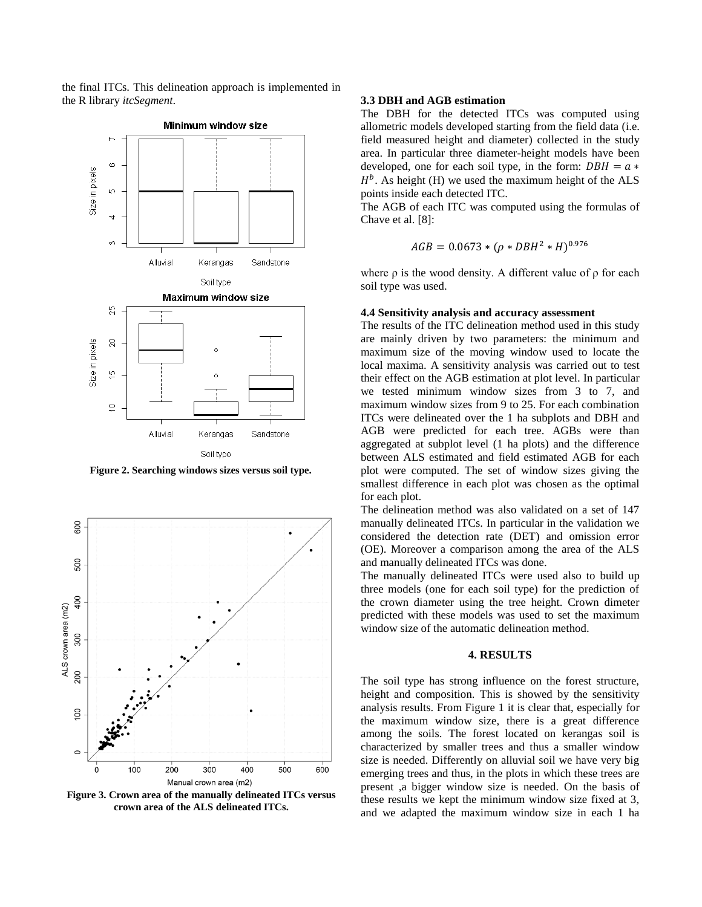the final ITCs. This delineation approach is implemented in the R library *itcSegment*. **3.3 DBH and AGB estimation**



**Figure 2. Searching windows sizes versus soil type.**



**Figure 3. Crown area of the manually delineated ITCs versus crown area of the ALS delineated ITCs.**

The DBH for the detected ITCs was computed using allometric models developed starting from the field data (i.e. field measured height and diameter) collected in the study area. In particular three diameter-height models have been developed, one for each soil type, in the form:  $DBH = a *$  $H<sup>b</sup>$ . As height (H) we used the maximum height of the ALS points inside each detected ITC.

The AGB of each ITC was computed using the formulas of Chave et al. [8]:

$$
AGB = 0.0673 * (\rho * DBH^2 * H)^{0.976}
$$

where  $\rho$  is the wood density. A different value of  $\rho$  for each soil type was used.

### **4.4 Sensitivity analysis and accuracy assessment**

The results of the ITC delineation method used in this study are mainly driven by two parameters: the minimum and maximum size of the moving window used to locate the local maxima. A sensitivity analysis was carried out to test their effect on the AGB estimation at plot level. In particular we tested minimum window sizes from 3 to 7, and maximum window sizes from 9 to 25. For each combination ITCs were delineated over the 1 ha subplots and DBH and AGB were predicted for each tree. AGBs were than aggregated at subplot level (1 ha plots) and the difference between ALS estimated and field estimated AGB for each plot were computed. The set of window sizes giving the smallest difference in each plot was chosen as the optimal for each plot.

The delineation method was also validated on a set of 147 manually delineated ITCs. In particular in the validation we considered the detection rate (DET) and omission error (OE). Moreover a comparison among the area of the ALS and manually delineated ITCs was done.

The manually delineated ITCs were used also to build up three models (one for each soil type) for the prediction of the crown diameter using the tree height. Crown dimeter predicted with these models was used to set the maximum window size of the automatic delineation method.

# **4. RESULTS**

The soil type has strong influence on the forest structure, height and composition. This is showed by the sensitivity analysis results. From Figure 1 it is clear that, especially for the maximum window size, there is a great difference among the soils. The forest located on kerangas soil is characterized by smaller trees and thus a smaller window size is needed. Differently on alluvial soil we have very big emerging trees and thus, in the plots in which these trees are present ,a bigger window size is needed. On the basis of these results we kept the minimum window size fixed at 3, and we adapted the maximum window size in each 1 ha